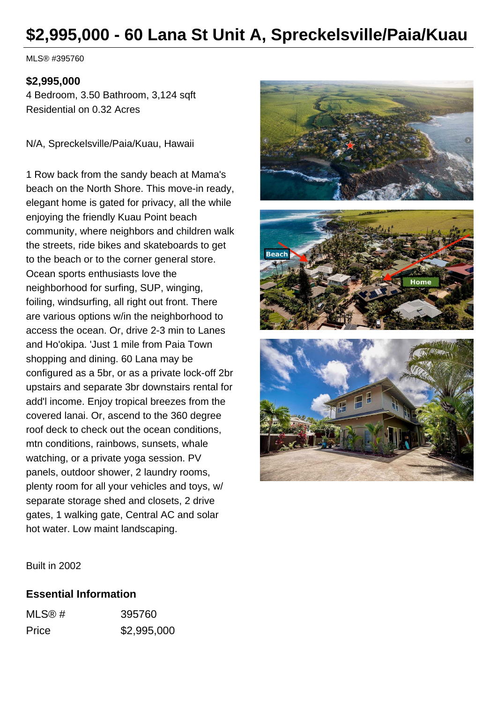# **\$2,995,000 - 60 Lana St Unit A, Spreckelsville/Paia/Kuau**

MLS® #395760

#### **\$2,995,000**

4 Bedroom, 3.50 Bathroom, 3,124 sqft Residential on 0.32 Acres

N/A, Spreckelsville/Paia/Kuau, Hawaii

1 Row back from the sandy beach at Mama's beach on the North Shore. This move-in ready, elegant home is gated for privacy, all the while enjoying the friendly Kuau Point beach community, where neighbors and children walk the streets, ride bikes and skateboards to get to the beach or to the corner general store. Ocean sports enthusiasts love the neighborhood for surfing, SUP, winging, foiling, windsurfing, all right out front. There are various options w/in the neighborhood to access the ocean. Or, drive 2-3 min to Lanes and Ho'okipa. 'Just 1 mile from Paia Town shopping and dining. 60 Lana may be configured as a 5br, or as a private lock-off 2br upstairs and separate 3br downstairs rental for add'l income. Enjoy tropical breezes from the covered lanai. Or, ascend to the 360 degree roof deck to check out the ocean conditions, mtn conditions, rainbows, sunsets, whale watching, or a private yoga session. PV panels, outdoor shower, 2 laundry rooms, plenty room for all your vehicles and toys, w/ separate storage shed and closets, 2 drive gates, 1 walking gate, Central AC and solar hot water. Low maint landscaping.



Built in 2002

#### **Essential Information**

| MLS@# | 395760      |
|-------|-------------|
| Price | \$2,995,000 |